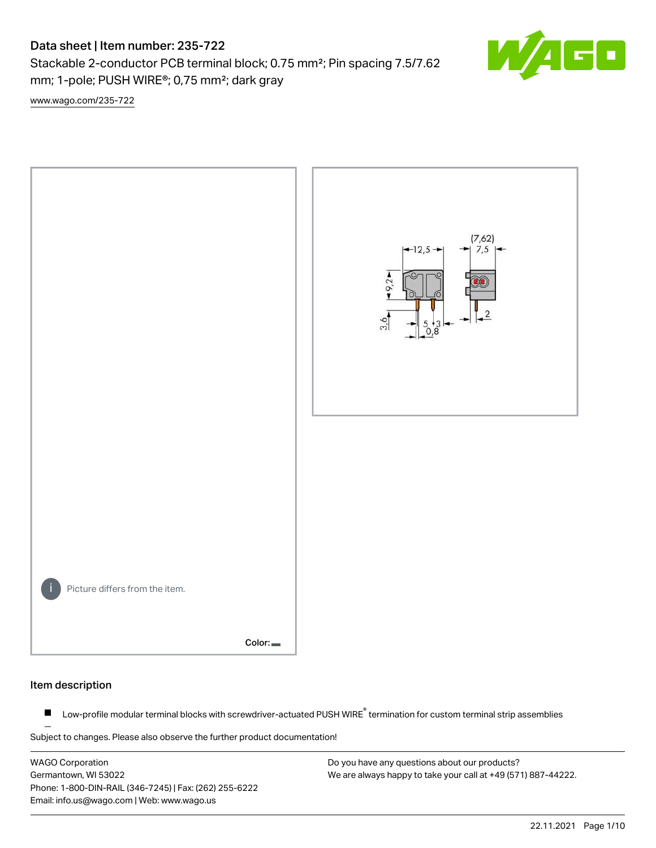Stackable 2-conductor PCB terminal block; 0.75 mm²; Pin spacing 7.5/7.62 mm; 1-pole; PUSH WIRE®; 0,75 mm²; dark gray

[www.wago.com/235-722](http://www.wago.com/235-722)



#### Item description

Low-profile modular terminal blocks with screwdriver-actuated PUSH WIRE<sup>®</sup> termination for custom terminal strip assemblies  $\blacksquare$ 

Subject to changes. Please also observe the further product documentation!

WAGO Corporation Germantown, WI 53022 Phone: 1-800-DIN-RAIL (346-7245) | Fax: (262) 255-6222 Email: info.us@wago.com | Web: www.wago.us

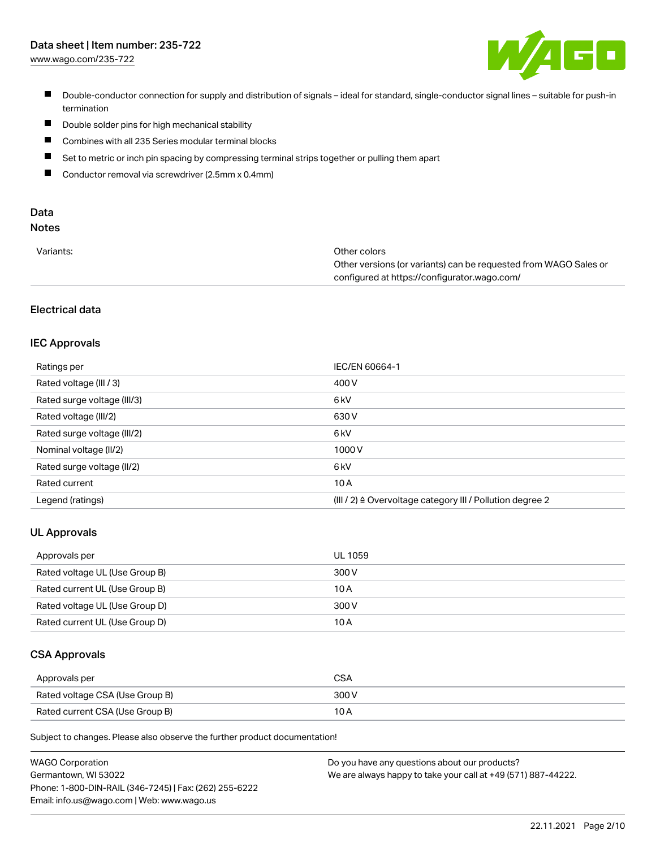[www.wago.com/235-722](http://www.wago.com/235-722)



- Double-conductor connection for supply and distribution of signals ideal for standard, single-conductor signal lines suitable for push-in termination
- $\blacksquare$ Double solder pins for high mechanical stability
- $\blacksquare$ Combines with all 235 Series modular terminal blocks
- $\blacksquare$ Set to metric or inch pin spacing by compressing terminal strips together or pulling them apart
- $\blacksquare$ Conductor removal via screwdriver (2.5mm x 0.4mm)

# Data

# Notes

| Variants: | Other colors                                                     |
|-----------|------------------------------------------------------------------|
|           | Other versions (or variants) can be requested from WAGO Sales or |
|           | configured at https://configurator.wago.com/                     |

## Electrical data

## IEC Approvals

| Ratings per                 | <b>IEC/EN 60664-1</b>                                                 |
|-----------------------------|-----------------------------------------------------------------------|
| Rated voltage (III / 3)     | 400 V                                                                 |
| Rated surge voltage (III/3) | 6 kV                                                                  |
| Rated voltage (III/2)       | 630 V                                                                 |
| Rated surge voltage (III/2) | 6 <sub>k</sub> V                                                      |
| Nominal voltage (II/2)      | 1000V                                                                 |
| Rated surge voltage (II/2)  | 6 <sub>k</sub> V                                                      |
| Rated current               | 10A                                                                   |
| Legend (ratings)            | $(III / 2)$ $\triangle$ Overvoltage category III / Pollution degree 2 |

#### UL Approvals

| Approvals per                  | UL 1059 |
|--------------------------------|---------|
| Rated voltage UL (Use Group B) | 300 V   |
| Rated current UL (Use Group B) | 10 A    |
| Rated voltage UL (Use Group D) | 300 V   |
| Rated current UL (Use Group D) | 10 A    |

### CSA Approvals

| Approvals per                   | CSA   |
|---------------------------------|-------|
| Rated voltage CSA (Use Group B) | 300 V |
| Rated current CSA (Use Group B) | 10 A  |

Subject to changes. Please also observe the further product documentation!

| <b>WAGO Corporation</b>                                | Do you have any questions about our products?                 |
|--------------------------------------------------------|---------------------------------------------------------------|
| Germantown, WI 53022                                   | We are always happy to take your call at +49 (571) 887-44222. |
| Phone: 1-800-DIN-RAIL (346-7245)   Fax: (262) 255-6222 |                                                               |
| Email: info.us@wago.com   Web: www.wago.us             |                                                               |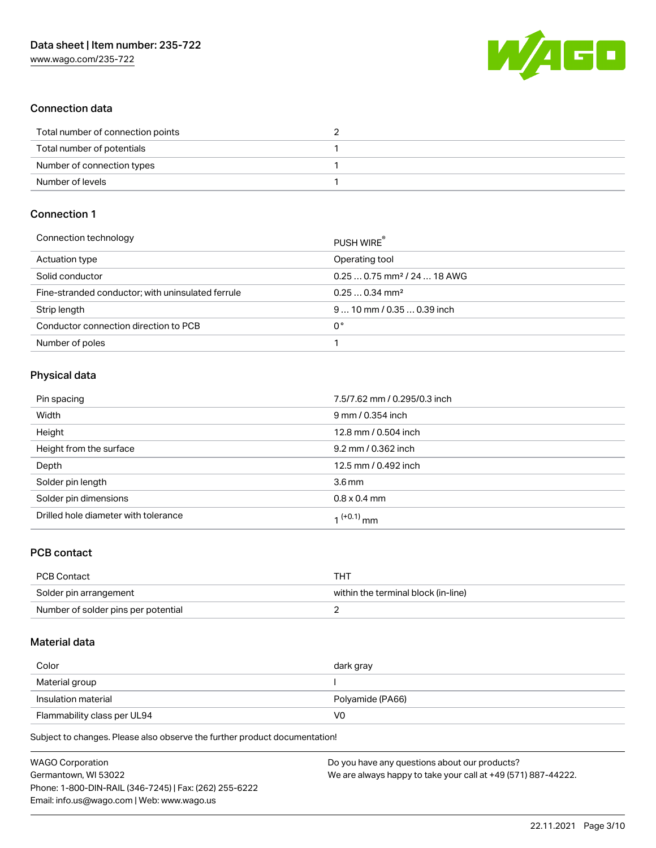

## Connection data

| Total number of connection points |  |
|-----------------------------------|--|
| Total number of potentials        |  |
| Number of connection types        |  |
| Number of levels                  |  |

## Connection 1

| Connection technology                             | PUSH WIRE                               |
|---------------------------------------------------|-----------------------------------------|
| Actuation type                                    | Operating tool                          |
| Solid conductor                                   | $0.250.75$ mm <sup>2</sup> / 24  18 AWG |
| Fine-stranded conductor; with uninsulated ferrule | $0.250.34$ mm <sup>2</sup>              |
| Strip length                                      | $910$ mm / 0.35  0.39 inch              |
| Conductor connection direction to PCB             | 0°                                      |
| Number of poles                                   |                                         |

## Physical data

| Pin spacing                          | 7.5/7.62 mm / 0.295/0.3 inch |
|--------------------------------------|------------------------------|
| Width                                | 9 mm / 0.354 inch            |
| Height                               | 12.8 mm / 0.504 inch         |
| Height from the surface              | 9.2 mm / 0.362 inch          |
| Depth                                | 12.5 mm / 0.492 inch         |
| Solder pin length                    | 3.6 <sub>mm</sub>            |
| Solder pin dimensions                | $0.8 \times 0.4$ mm          |
| Drilled hole diameter with tolerance | 1 <sup>(+0.1)</sup> mm       |

## PCB contact

| PCB Contact                         | THT                                 |
|-------------------------------------|-------------------------------------|
| Solder pin arrangement              | within the terminal block (in-line) |
| Number of solder pins per potential |                                     |

### Material data

| Color                       | dark gray        |
|-----------------------------|------------------|
| Material group              |                  |
| Insulation material         | Polyamide (PA66) |
| Flammability class per UL94 | V0               |

Subject to changes. Please also observe the further product documentation!

| <b>WAGO Corporation</b>                                | Do you have any questions about our products?                 |
|--------------------------------------------------------|---------------------------------------------------------------|
| Germantown, WI 53022                                   | We are always happy to take your call at +49 (571) 887-44222. |
| Phone: 1-800-DIN-RAIL (346-7245)   Fax: (262) 255-6222 |                                                               |
| Email: info.us@wago.com   Web: www.wago.us             |                                                               |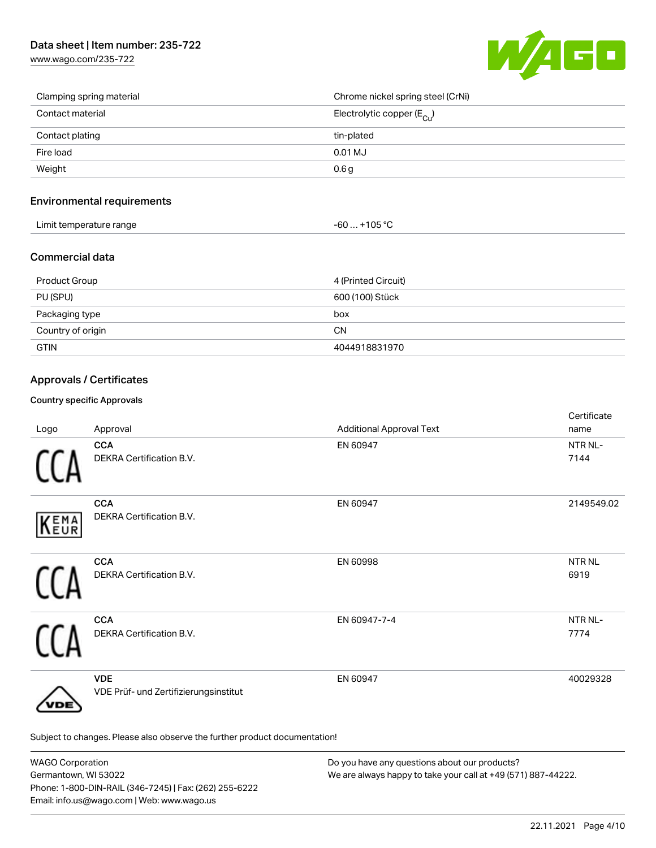

| Clamping spring material | Chrome nickel spring steel (CrNi)     |
|--------------------------|---------------------------------------|
| Contact material         | Electrolytic copper $(E_{\text{Cu}})$ |
| Contact plating          | tin-plated                            |
| Fire load                | 0.01 MJ                               |
| Weight                   | 0.6 <sub>g</sub>                      |

### Environmental requirements

| .<br>Limit temperature range<br>. | 105.0C<br>TUE<br>JU<br>. . |  |
|-----------------------------------|----------------------------|--|
|-----------------------------------|----------------------------|--|

## Commercial data

| Product Group     | 4 (Printed Circuit) |
|-------------------|---------------------|
| PU (SPU)          | 600 (100) Stück     |
| Packaging type    | box                 |
| Country of origin | CΝ                  |
| <b>GTIN</b>       | 4044918831970       |

## Approvals / Certificates

#### Country specific Approvals

| Logo | Approval                                                                   | <b>Additional Approval Text</b> | Certificate<br>name       |
|------|----------------------------------------------------------------------------|---------------------------------|---------------------------|
|      | <b>CCA</b><br>DEKRA Certification B.V.                                     | EN 60947                        | NTR NL-<br>7144           |
| KEMA | <b>CCA</b><br><b>DEKRA Certification B.V.</b>                              | EN 60947                        | 2149549.02                |
|      | <b>CCA</b><br>DEKRA Certification B.V.                                     | EN 60998                        | NTR <sub>NL</sub><br>6919 |
|      | <b>CCA</b><br>DEKRA Certification B.V.                                     | EN 60947-7-4                    | NTR NL-<br>7774           |
| 'DE  | <b>VDE</b><br>VDE Prüf- und Zertifizierungsinstitut                        | EN 60947                        | 40029328                  |
|      | Subject to changes. Please also observe the further product documentation! |                                 |                           |

| <b>WAGO Corporation</b>                                | Do you have any questions about our products?                 |
|--------------------------------------------------------|---------------------------------------------------------------|
| Germantown, WI 53022                                   | We are always happy to take your call at +49 (571) 887-44222. |
| Phone: 1-800-DIN-RAIL (346-7245)   Fax: (262) 255-6222 |                                                               |
| Email: info.us@wago.com   Web: www.wago.us             |                                                               |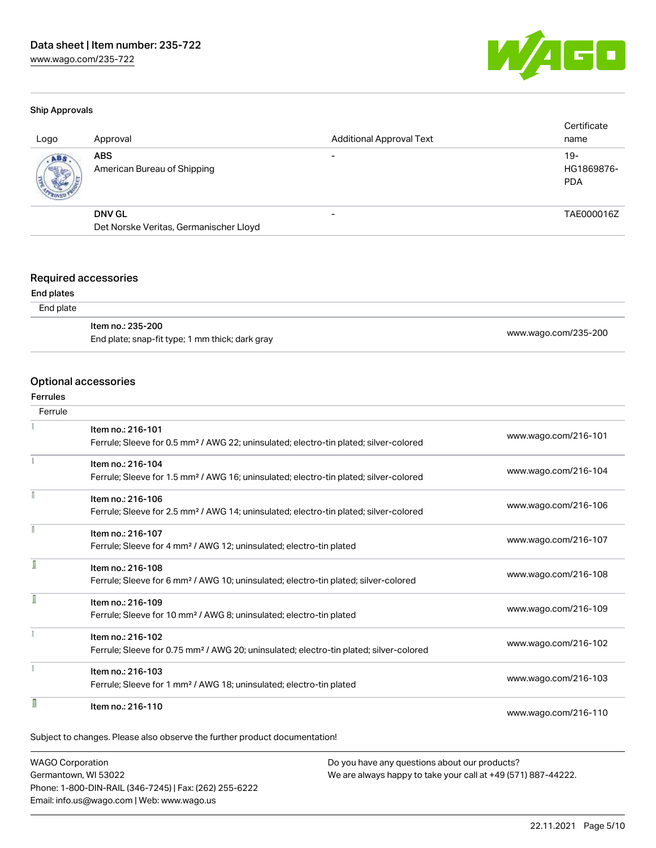

#### Ship Approvals

| Logo | Approval                                                | <b>Additional Approval Text</b> | Certificate<br>name               |
|------|---------------------------------------------------------|---------------------------------|-----------------------------------|
| ABS  | <b>ABS</b><br>American Bureau of Shipping               |                                 | $19-$<br>HG1869876-<br><b>PDA</b> |
|      | <b>DNV GL</b><br>Det Norske Veritas, Germanischer Lloyd |                                 | TAE000016Z                        |
|      |                                                         |                                 |                                   |

### Required accessories

#### End plates

| ltem no.: 235-200                               |                      |
|-------------------------------------------------|----------------------|
| End plate; snap-fit type; 1 mm thick; dark gray | www.wago.com/235-200 |

#### Optional accessories

#### Ferrules

| Ferrule |                                                                                                    |                      |
|---------|----------------------------------------------------------------------------------------------------|----------------------|
|         | Item no.: 216-101                                                                                  |                      |
|         | Ferrule; Sleeve for 0.5 mm <sup>2</sup> / AWG 22; uninsulated; electro-tin plated; silver-colored  | www.wago.com/216-101 |
|         | Item no.: 216-104                                                                                  |                      |
|         | Ferrule; Sleeve for 1.5 mm <sup>2</sup> / AWG 16; uninsulated; electro-tin plated; silver-colored  | www.wago.com/216-104 |
|         | Item no.: 216-106                                                                                  |                      |
|         | Ferrule; Sleeve for 2.5 mm <sup>2</sup> / AWG 14; uninsulated; electro-tin plated; silver-colored  | www.wago.com/216-106 |
|         | Item no.: 216-107                                                                                  |                      |
|         | Ferrule; Sleeve for 4 mm <sup>2</sup> / AWG 12; uninsulated; electro-tin plated                    | www.wago.com/216-107 |
|         | Item no.: 216-108                                                                                  |                      |
|         | Ferrule; Sleeve for 6 mm <sup>2</sup> / AWG 10; uninsulated; electro-tin plated; silver-colored    | www.wago.com/216-108 |
|         | Item no.: 216-109                                                                                  |                      |
|         | Ferrule; Sleeve for 10 mm <sup>2</sup> / AWG 8; uninsulated; electro-tin plated                    | www.wago.com/216-109 |
|         | Item no.: 216-102                                                                                  |                      |
|         | Ferrule; Sleeve for 0.75 mm <sup>2</sup> / AWG 20; uninsulated; electro-tin plated; silver-colored | www.wago.com/216-102 |
|         | Item no.: 216-103                                                                                  |                      |
|         | Ferrule; Sleeve for 1 mm <sup>2</sup> / AWG 18; uninsulated; electro-tin plated                    | www.wago.com/216-103 |
|         | Item no.: 216-110                                                                                  |                      |
|         |                                                                                                    | www.wago.com/216-110 |

WAGO Corporation Germantown, WI 53022 Phone: 1-800-DIN-RAIL (346-7245) | Fax: (262) 255-6222 Email: info.us@wago.com | Web: www.wago.us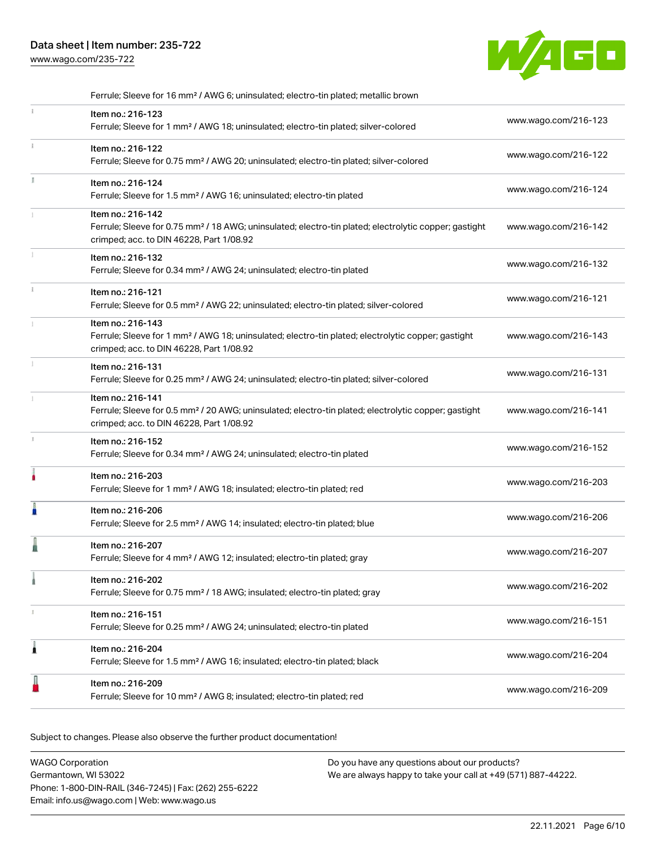[www.wago.com/235-722](http://www.wago.com/235-722)



|    | Ferrule; Sleeve for 16 mm <sup>2</sup> / AWG 6; uninsulated; electro-tin plated; metallic brown                                                                                    |                      |
|----|------------------------------------------------------------------------------------------------------------------------------------------------------------------------------------|----------------------|
| Î. | Item no.: 216-123<br>Ferrule; Sleeve for 1 mm <sup>2</sup> / AWG 18; uninsulated; electro-tin plated; silver-colored                                                               | www.wago.com/216-123 |
| Î. | Item no.: 216-122<br>Ferrule; Sleeve for 0.75 mm <sup>2</sup> / AWG 20; uninsulated; electro-tin plated; silver-colored                                                            | www.wago.com/216-122 |
| I. | Item no.: 216-124<br>Ferrule; Sleeve for 1.5 mm <sup>2</sup> / AWG 16; uninsulated; electro-tin plated                                                                             | www.wago.com/216-124 |
|    | Item no.: 216-142<br>Ferrule; Sleeve for 0.75 mm <sup>2</sup> / 18 AWG; uninsulated; electro-tin plated; electrolytic copper; gastight<br>crimped; acc. to DIN 46228, Part 1/08.92 | www.wago.com/216-142 |
|    | Item no.: 216-132<br>Ferrule; Sleeve for 0.34 mm <sup>2</sup> / AWG 24; uninsulated; electro-tin plated                                                                            | www.wago.com/216-132 |
| i. | Item no.: 216-121<br>Ferrule; Sleeve for 0.5 mm <sup>2</sup> / AWG 22; uninsulated; electro-tin plated; silver-colored                                                             | www.wago.com/216-121 |
|    | Item no.: 216-143<br>Ferrule; Sleeve for 1 mm <sup>2</sup> / AWG 18; uninsulated; electro-tin plated; electrolytic copper; gastight<br>crimped; acc. to DIN 46228, Part 1/08.92    | www.wago.com/216-143 |
| ĵ. | Item no.: 216-131<br>Ferrule; Sleeve for 0.25 mm <sup>2</sup> / AWG 24; uninsulated; electro-tin plated; silver-colored                                                            | www.wago.com/216-131 |
|    | Item no.: 216-141<br>Ferrule; Sleeve for 0.5 mm <sup>2</sup> / 20 AWG; uninsulated; electro-tin plated; electrolytic copper; gastight<br>crimped; acc. to DIN 46228, Part 1/08.92  | www.wago.com/216-141 |
| s. | Item no.: 216-152<br>Ferrule; Sleeve for 0.34 mm <sup>2</sup> / AWG 24; uninsulated; electro-tin plated                                                                            | www.wago.com/216-152 |
|    | Item no.: 216-203<br>Ferrule; Sleeve for 1 mm <sup>2</sup> / AWG 18; insulated; electro-tin plated; red                                                                            | www.wago.com/216-203 |
| I  | Item no.: 216-206<br>Ferrule; Sleeve for 2.5 mm <sup>2</sup> / AWG 14; insulated; electro-tin plated; blue                                                                         | www.wago.com/216-206 |
| Ä  | Item no.: 216-207<br>Ferrule; Sleeve for 4 mm <sup>2</sup> / AWG 12; insulated; electro-tin plated; gray                                                                           | www.wago.com/216-207 |
|    | Item no.: 216-202<br>Ferrule; Sleeve for 0.75 mm <sup>2</sup> / 18 AWG; insulated; electro-tin plated; gray                                                                        | www.wago.com/216-202 |
|    | Item no.: 216-151<br>Ferrule; Sleeve for 0.25 mm <sup>2</sup> / AWG 24; uninsulated; electro-tin plated                                                                            | www.wago.com/216-151 |
| 1  | Item no.: 216-204<br>Ferrule; Sleeve for 1.5 mm <sup>2</sup> / AWG 16; insulated; electro-tin plated; black                                                                        | www.wago.com/216-204 |
|    | Item no.: 216-209<br>Ferrule; Sleeve for 10 mm <sup>2</sup> / AWG 8; insulated; electro-tin plated; red                                                                            | www.wago.com/216-209 |

Subject to changes. Please also observe the further product documentation!

| <b>WAGO Corporation</b>                                | Do you have any questions about our products?                 |
|--------------------------------------------------------|---------------------------------------------------------------|
| Germantown. WI 53022                                   | We are always happy to take your call at +49 (571) 887-44222. |
| Phone: 1-800-DIN-RAIL (346-7245)   Fax: (262) 255-6222 |                                                               |
| Email: info.us@wago.com   Web: www.wago.us             |                                                               |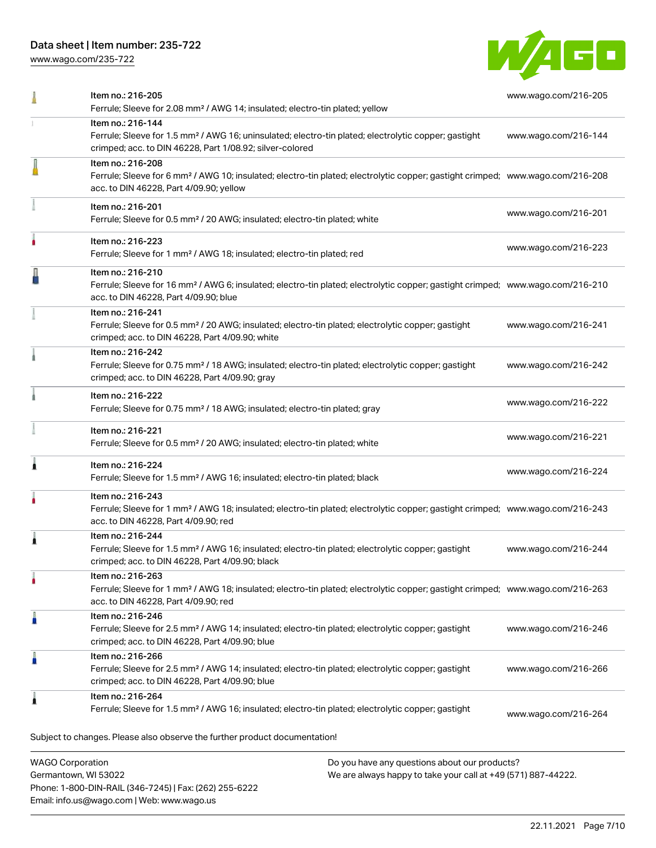Phone: 1-800-DIN-RAIL (346-7245) | Fax: (262) 255-6222

Email: info.us@wago.com | Web: www.wago.us

[www.wago.com/235-722](http://www.wago.com/235-722)



|                                                 | Item no.: 216-205<br>Ferrule; Sleeve for 2.08 mm <sup>2</sup> / AWG 14; insulated; electro-tin plated; yellow                                                                                              |                                                                                                                | www.wago.com/216-205 |
|-------------------------------------------------|------------------------------------------------------------------------------------------------------------------------------------------------------------------------------------------------------------|----------------------------------------------------------------------------------------------------------------|----------------------|
|                                                 | Item no.: 216-144<br>Ferrule; Sleeve for 1.5 mm <sup>2</sup> / AWG 16; uninsulated; electro-tin plated; electrolytic copper; gastight<br>crimped; acc. to DIN 46228, Part 1/08.92; silver-colored          |                                                                                                                | www.wago.com/216-144 |
|                                                 | Item no.: 216-208<br>Ferrule; Sleeve for 6 mm <sup>2</sup> / AWG 10; insulated; electro-tin plated; electrolytic copper; gastight crimped; www.wago.com/216-208<br>acc. to DIN 46228, Part 4/09.90; yellow |                                                                                                                |                      |
|                                                 | Item no.: 216-201<br>Ferrule; Sleeve for 0.5 mm <sup>2</sup> / 20 AWG; insulated; electro-tin plated; white                                                                                                |                                                                                                                | www.wago.com/216-201 |
|                                                 | Item no.: 216-223<br>Ferrule; Sleeve for 1 mm <sup>2</sup> / AWG 18; insulated; electro-tin plated; red                                                                                                    |                                                                                                                | www.wago.com/216-223 |
|                                                 | Item no.: 216-210<br>Ferrule; Sleeve for 16 mm <sup>2</sup> / AWG 6; insulated; electro-tin plated; electrolytic copper; gastight crimped; www.wago.com/216-210<br>acc. to DIN 46228, Part 4/09.90; blue   |                                                                                                                |                      |
|                                                 | Item no.: 216-241<br>Ferrule; Sleeve for 0.5 mm <sup>2</sup> / 20 AWG; insulated; electro-tin plated; electrolytic copper; gastight<br>crimped; acc. to DIN 46228, Part 4/09.90; white                     |                                                                                                                | www.wago.com/216-241 |
|                                                 | Item no.: 216-242<br>Ferrule; Sleeve for 0.75 mm <sup>2</sup> / 18 AWG; insulated; electro-tin plated; electrolytic copper; gastight<br>crimped; acc. to DIN 46228, Part 4/09.90; gray                     |                                                                                                                | www.wago.com/216-242 |
|                                                 | Item no.: 216-222<br>Ferrule; Sleeve for 0.75 mm <sup>2</sup> / 18 AWG; insulated; electro-tin plated; gray                                                                                                |                                                                                                                | www.wago.com/216-222 |
|                                                 | Item no.: 216-221<br>Ferrule; Sleeve for 0.5 mm <sup>2</sup> / 20 AWG; insulated; electro-tin plated; white                                                                                                |                                                                                                                | www.wago.com/216-221 |
|                                                 | Item no.: 216-224<br>Ferrule; Sleeve for 1.5 mm <sup>2</sup> / AWG 16; insulated; electro-tin plated; black                                                                                                |                                                                                                                | www.wago.com/216-224 |
|                                                 | Item no.: 216-243<br>Ferrule; Sleeve for 1 mm <sup>2</sup> / AWG 18; insulated; electro-tin plated; electrolytic copper; gastight crimped; www.wago.com/216-243<br>acc. to DIN 46228, Part 4/09.90; red    |                                                                                                                |                      |
|                                                 | Item no.: 216-244<br>Ferrule; Sleeve for 1.5 mm <sup>2</sup> / AWG 16; insulated; electro-tin plated; electrolytic copper; gastight<br>crimped; acc. to DIN 46228, Part 4/09.90; black                     |                                                                                                                | www.wago.com/216-244 |
|                                                 | Item no.: 216-263<br>Ferrule; Sleeve for 1 mm <sup>2</sup> / AWG 18; insulated; electro-tin plated; electrolytic copper; gastight crimped; www.wago.com/216-263<br>acc. to DIN 46228, Part 4/09.90; red    |                                                                                                                |                      |
|                                                 | Item no.: 216-246<br>Ferrule; Sleeve for 2.5 mm <sup>2</sup> / AWG 14; insulated; electro-tin plated; electrolytic copper; gastight<br>crimped; acc. to DIN 46228, Part 4/09.90; blue                      |                                                                                                                | www.wago.com/216-246 |
|                                                 | Item no.: 216-266<br>Ferrule; Sleeve for 2.5 mm <sup>2</sup> / AWG 14; insulated; electro-tin plated; electrolytic copper; gastight<br>crimped; acc. to DIN 46228, Part 4/09.90; blue                      |                                                                                                                | www.wago.com/216-266 |
|                                                 | Item no.: 216-264<br>Ferrule; Sleeve for 1.5 mm <sup>2</sup> / AWG 16; insulated; electro-tin plated; electrolytic copper; gastight                                                                        |                                                                                                                | www.wago.com/216-264 |
|                                                 | Subject to changes. Please also observe the further product documentation!                                                                                                                                 |                                                                                                                |                      |
| <b>WAGO Corporation</b><br>Germantown, WI 53022 |                                                                                                                                                                                                            | Do you have any questions about our products?<br>We are always happy to take your call at +49 (571) 887-44222. |                      |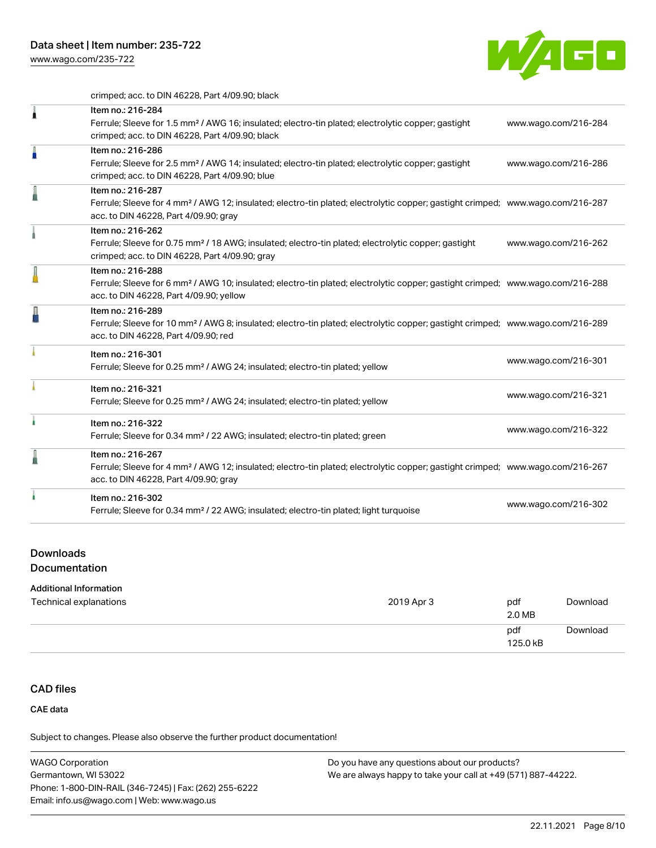

crimped; acc. to DIN 46228, Part 4/09.90; black

| 1 | Item no.: 216-284<br>Ferrule; Sleeve for 1.5 mm <sup>2</sup> / AWG 16; insulated; electro-tin plated; electrolytic copper; gastight<br>crimped; acc. to DIN 46228, Part 4/09.90; black                     | www.wago.com/216-284 |
|---|------------------------------------------------------------------------------------------------------------------------------------------------------------------------------------------------------------|----------------------|
| n | Item no.: 216-286<br>Ferrule; Sleeve for 2.5 mm <sup>2</sup> / AWG 14; insulated; electro-tin plated; electrolytic copper; gastight<br>crimped; acc. to DIN 46228, Part 4/09.90; blue                      | www.wago.com/216-286 |
| I | Item no.: 216-287<br>Ferrule; Sleeve for 4 mm <sup>2</sup> / AWG 12; insulated; electro-tin plated; electrolytic copper; gastight crimped; www.wago.com/216-287<br>acc. to DIN 46228, Part 4/09.90; gray   |                      |
|   | Item no.: 216-262<br>Ferrule; Sleeve for 0.75 mm <sup>2</sup> / 18 AWG; insulated; electro-tin plated; electrolytic copper; gastight<br>crimped; acc. to DIN 46228, Part 4/09.90; gray                     | www.wago.com/216-262 |
|   | Item no.: 216-288<br>Ferrule; Sleeve for 6 mm <sup>2</sup> / AWG 10; insulated; electro-tin plated; electrolytic copper; gastight crimped; www.wago.com/216-288<br>acc. to DIN 46228, Part 4/09.90; yellow |                      |
|   | Item no.: 216-289<br>Ferrule; Sleeve for 10 mm <sup>2</sup> / AWG 8; insulated; electro-tin plated; electrolytic copper; gastight crimped; www.wago.com/216-289<br>acc. to DIN 46228, Part 4/09.90; red    |                      |
|   | Item no.: 216-301<br>Ferrule; Sleeve for 0.25 mm <sup>2</sup> / AWG 24; insulated; electro-tin plated; yellow                                                                                              | www.wago.com/216-301 |
|   | Item no.: 216-321<br>Ferrule; Sleeve for 0.25 mm <sup>2</sup> / AWG 24; insulated; electro-tin plated; yellow                                                                                              | www.wago.com/216-321 |
|   | Item no.: 216-322<br>Ferrule; Sleeve for 0.34 mm <sup>2</sup> / 22 AWG; insulated; electro-tin plated; green                                                                                               | www.wago.com/216-322 |
|   | Item no.: 216-267<br>Ferrule; Sleeve for 4 mm <sup>2</sup> / AWG 12; insulated; electro-tin plated; electrolytic copper; gastight crimped; www.wago.com/216-267<br>acc. to DIN 46228, Part 4/09.90; gray   |                      |
|   | Item no.: 216-302<br>Ferrule; Sleeve for 0.34 mm <sup>2</sup> / 22 AWG; insulated; electro-tin plated; light turquoise                                                                                     | www.wago.com/216-302 |

#### Downloads

Documentation

#### Additional Information

| Technical explanations | 2019 Apr 3 | pdf<br>2.0 MB   | Download |
|------------------------|------------|-----------------|----------|
|                        |            | pdf<br>125.0 kB | Download |

## CAD files

CAE data

Subject to changes. Please also observe the further product documentation!

WAGO Corporation Germantown, WI 53022 Phone: 1-800-DIN-RAIL (346-7245) | Fax: (262) 255-6222 Email: info.us@wago.com | Web: www.wago.us Do you have any questions about our products? We are always happy to take your call at +49 (571) 887-44222.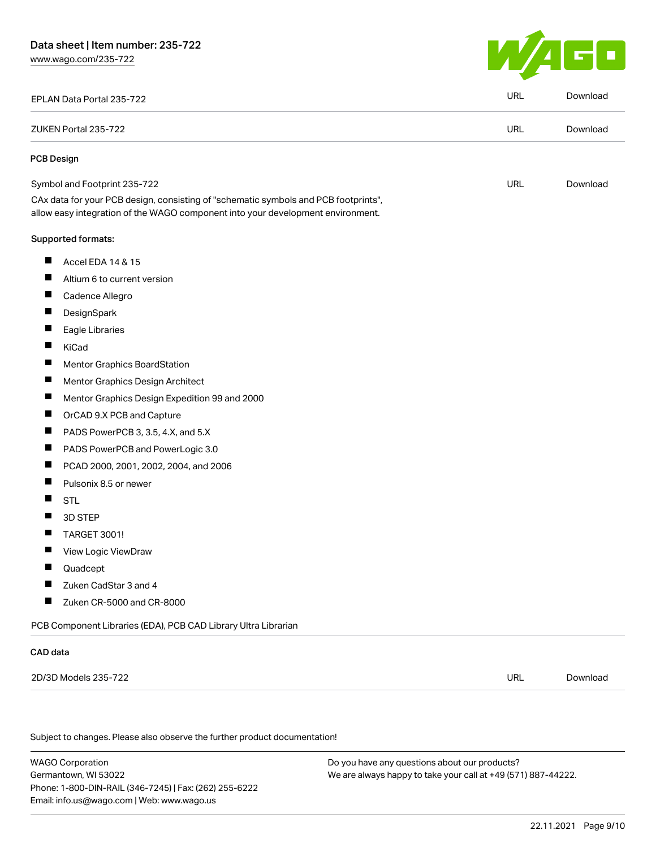

| EPLAN Data Portal 235-722                                                                                                                                              | <b>URL</b> | Download |
|------------------------------------------------------------------------------------------------------------------------------------------------------------------------|------------|----------|
| ZUKEN Portal 235-722                                                                                                                                                   | <b>URL</b> | Download |
| <b>PCB Design</b>                                                                                                                                                      |            |          |
| Symbol and Footprint 235-722                                                                                                                                           | <b>URL</b> | Download |
| CAx data for your PCB design, consisting of "schematic symbols and PCB footprints",<br>allow easy integration of the WAGO component into your development environment. |            |          |
| Supported formats:                                                                                                                                                     |            |          |
| ш<br>Accel EDA 14 & 15                                                                                                                                                 |            |          |
| ш<br>Altium 6 to current version                                                                                                                                       |            |          |
| $\blacksquare$<br>Cadence Allegro                                                                                                                                      |            |          |
| П<br>DesignSpark                                                                                                                                                       |            |          |
| ш<br>Eagle Libraries                                                                                                                                                   |            |          |
| П<br>KiCad                                                                                                                                                             |            |          |
| $\blacksquare$<br>Mentor Graphics BoardStation                                                                                                                         |            |          |
| ш<br>Mentor Graphics Design Architect                                                                                                                                  |            |          |
| Ш<br>Mentor Graphics Design Expedition 99 and 2000                                                                                                                     |            |          |
| ш<br>OrCAD 9.X PCB and Capture                                                                                                                                         |            |          |
| ш<br>PADS PowerPCB 3, 3.5, 4.X, and 5.X                                                                                                                                |            |          |
| Ц<br>PADS PowerPCB and PowerLogic 3.0                                                                                                                                  |            |          |
| $\blacksquare$<br>PCAD 2000, 2001, 2002, 2004, and 2006                                                                                                                |            |          |
| Pulsonix 8.5 or newer<br>$\blacksquare$                                                                                                                                |            |          |
| ш<br><b>STL</b>                                                                                                                                                        |            |          |
| ш<br>3D STEP                                                                                                                                                           |            |          |
| <b>TARGET 3001!</b>                                                                                                                                                    |            |          |
| Ш<br>View Logic ViewDraw                                                                                                                                               |            |          |
| П<br>Quadcept                                                                                                                                                          |            |          |
| Zuken CadStar 3 and 4                                                                                                                                                  |            |          |
| $\blacksquare$<br>Zuken CR-5000 and CR-8000                                                                                                                            |            |          |
| PCB Component Libraries (EDA), PCB CAD Library Ultra Librarian                                                                                                         |            |          |
| CAD data                                                                                                                                                               |            |          |
| 2D/3D Models 235-722                                                                                                                                                   | <b>URL</b> | Download |
|                                                                                                                                                                        |            |          |
| Subject to changes. Please also observe the further product documentation!                                                                                             |            |          |
|                                                                                                                                                                        |            |          |

WAGO Corporation Germantown, WI 53022 Phone: 1-800-DIN-RAIL (346-7245) | Fax: (262) 255-6222 Email: info.us@wago.com | Web: www.wago.us